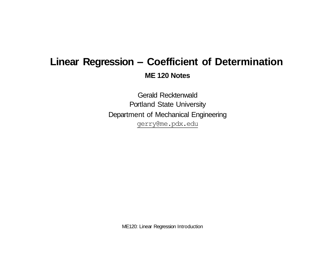# **Linear Regression – Coefficient of Determination ME 120 Notes**

Gerald Recktenwald Portland State University Department of Mechanical Engineering [gerry@me.pdx.edu](mailto:gerry@me.pdx.edu)

ME120: Linear Regression Introduction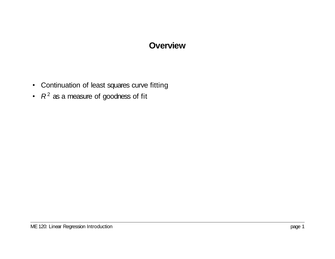# **Overview**

- Continuation of least squares curve fitting
- $R^2$  as a measure of goodness of fit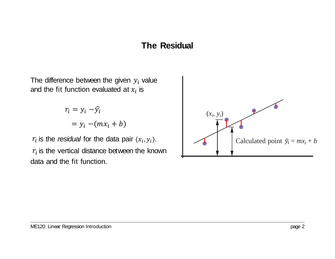### **The Residual**

The difference between the given  $y_i$  value and the fit function evaluated at  $x_i$  is

> $= y_i - (mx_i + b)$  $r_i = y_i - \hat{y}_i$

 $r_i$  is the *residual* for the data pair  $(x_i, y_i)$ .  $r_{\widetilde t}$  is the vertical distance between the known data and the fit function.

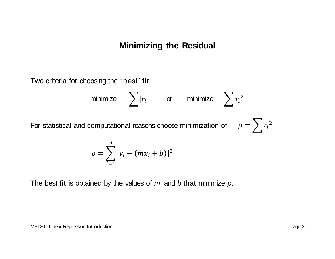# **Minimizing the Residual**

Two criteria for choosing the "best" fit

minimize 
$$
\sum |r_i|
$$
 or minimize  $\sum r_i^2$   
For statistical and computational reasons choose minimization of  $\rho = \sum r_i^2$ 

$$
\rho = \sum_{i=1}^{n} [y_i - (mx_i + b)]^2
$$

The best fit is obtained by the values of *m* and *b* that minimize *ρ*.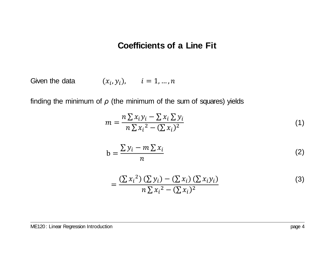### **Coefficients of a Line Fit**

Given the data  $(x_i, y_i), \quad i = 1, ..., n$ 

finding the minimum of  $\rho$  (the minimum of the sum of squares) yields

$$
m = \frac{n\sum x_i y_i - \sum x_i \sum y_i}{n\sum x_i^2 - (\sum x_i)^2}
$$
\n(1)

$$
b = \frac{\sum y_i - m \sum x_i}{n}
$$
 (2)

$$
= \frac{\left(\sum x_i^2\right)\left(\sum y_i\right) - \left(\sum x_i\right)\left(\sum x_i y_i\right)}{n \sum x_i^2 - \left(\sum x_i\right)^2}
$$
(3)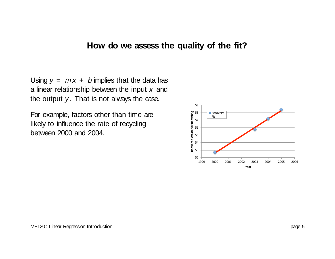#### **How do we assess the quality of the fit?**

Using  $y = mx + b$  implies that the data has a linear relationship between the input *x* and the output *y*. That is not always the case.

For example, factors other than time are likely to influence the rate of recycling between 2000 and 2004.

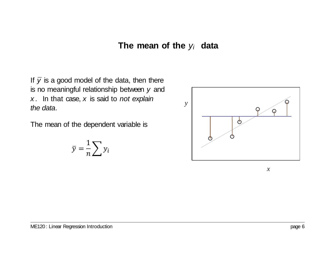### **The mean of the** *yi* **data**

If  $\bar{y}$  is a good model of the data, then there is no meaningful relationship between *y* and *x* . In that case, *x* is said to *not explain the data*.

The mean of the dependent variable is

$$
\bar{y} = \frac{1}{n} \sum y_i
$$



*x*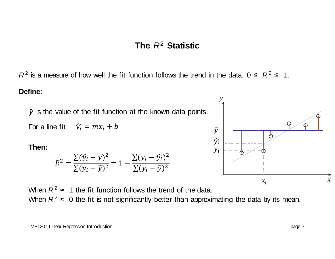# **The** *R*2 **Statistic**

*R*<sup>2</sup> is a measure of how well the fit function follows the trend in the data. 0 ≤  $R$ <sup>2</sup> ≤ 1.

#### **Define:**

*y*ˆ is the value of the fit function at the known data points.

For a line fit  $\hat{y}_i = mx_i + b$ 

#### **Then:**

$$
R^{2} = \frac{\sum(\hat{y}_{i} - \bar{y})^{2}}{\sum(y_{i} - \bar{y})^{2}} = 1 - \frac{\sum(y_{i} - \hat{y}_{i})^{2}}{\sum(y_{i} - \bar{y})^{2}}
$$

⋒  $\overline{y}$ ტ  $\widehat{y}_i$  $y_i$ *x*  $x_i$ 

*y*

When  $R^2 \approx 1$  the fit function follows the trend of the data. When  $R^2 \approx 0$  the fit is not significantly better than approximating the data by its mean.